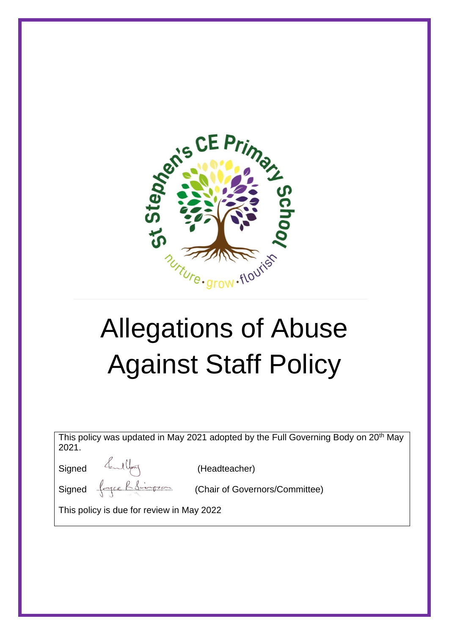

# Allegations of Abuse Against Staff Policy

|       | This policy was updated in May 2021 adopted by the Full Governing Body on 20 <sup>th</sup> May |
|-------|------------------------------------------------------------------------------------------------|
| 2021. |                                                                                                |

Signed (Headteacher)

Signed  $\int_{\text{cycle}} \beta \sin \theta$  (Chair of Governors/Committee)

This policy is due for review in May 2022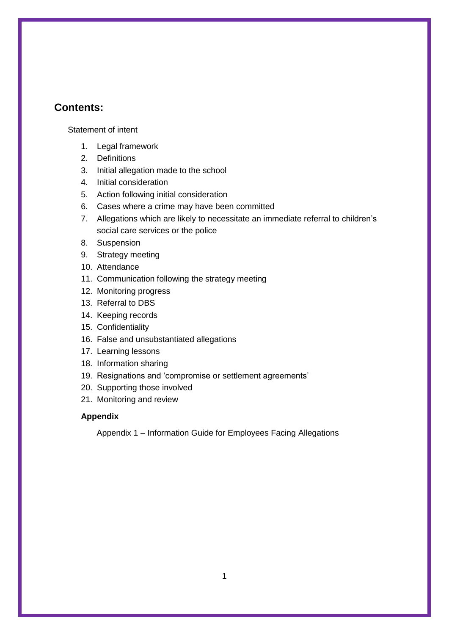# **Contents:**

[Statement of intent](#page-2-0)

- 1. [Legal framework](#page-3-0)
- 2. [Definitions](#page-3-1)
- 3. [Initial allegation made to the school](#page-5-0)
- 4. [Initial consideration](#page-6-0)
- 5. [Action following initial consideration](#page-6-1)
- 6. [Cases where a crime may have been committed](#page-7-0)
- 7. [Allegations which are likely to necessitate an immediate referral to children's](#page-8-0)  [social care services or the police](#page-8-0)
- 8. [Suspension](#page-9-0)
- 9. [Strategy meeting](#page-10-0)
- 10. [Attendance](#page-11-0)
- 11. [Communication following the strategy meeting](#page-11-1)
- 12. [Monitoring progress](#page-11-2)
- 13. [Referral to DBS](#page-12-0)
- 14. [Keeping records](#page-12-1)
- 15. [Confidentiality](#page-12-2)
- 16. False [and unsubstantiated](#page-13-0) allegations
- 17. [Learning lessons](#page-14-0)
- 18. [Information sharing](#page-14-1)
- 19. [Resignations and 'compromise or settlement agreements'](#page-14-2)
- 20. [Supporting those involved](#page-15-0)
- 21. [Monitoring and review](#page-16-0)

#### **Appendix**

Appendix 1 – [Information Guide for Employees Facing Allegations](#page-17-0)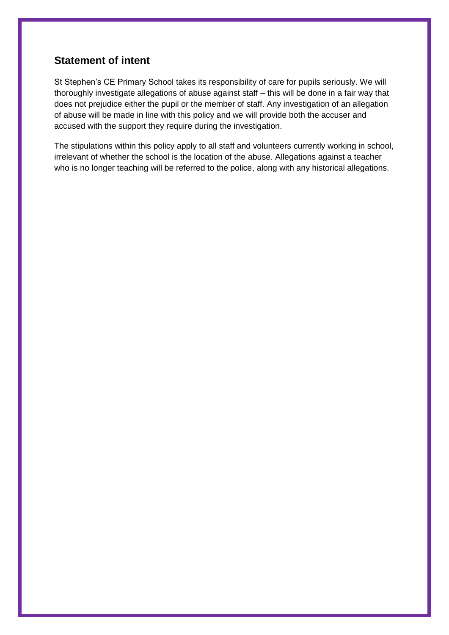# <span id="page-2-0"></span>**Statement of intent**

St Stephen's CE Primary School takes its responsibility of care for pupils seriously. We will thoroughly investigate allegations of abuse against staff – this will be done in a fair way that does not prejudice either the pupil or the member of staff. Any investigation of an allegation of abuse will be made in line with this policy and we will provide both the accuser and accused with the support they require during the investigation.

The stipulations within this policy apply to all staff and volunteers currently working in school, irrelevant of whether the school is the location of the abuse. Allegations against a teacher who is no longer teaching will be referred to the police, along with any historical allegations.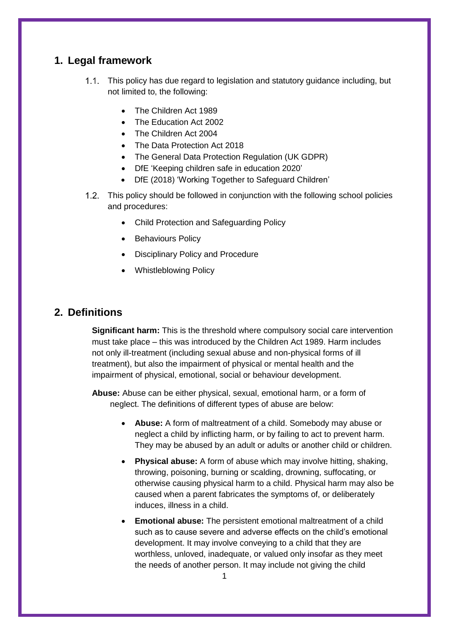# <span id="page-3-0"></span>**1. Legal framework**

- This policy has due regard to legislation and statutory guidance including, but not limited to, the following:
	- The Children Act 1989
	- The Education Act 2002
	- The Children Act 2004
	- The Data Protection Act 2018
	- The General Data Protection Regulation (UK GDPR)
	- DfE 'Keeping children safe in education 2020'
	- DfE (2018) 'Working Together to Safeguard Children'
- This policy should be followed in conjunction with the following school policies and procedures:
	- Child Protection and Safeguarding Policy
	- Behaviours Policy
	- Disciplinary Policy and Procedure
	- Whistleblowing Policy

## <span id="page-3-1"></span>**2. Definitions**

**Significant harm:** This is the threshold where compulsory social care intervention must take place – this was introduced by the Children Act 1989. Harm includes not only ill-treatment (including sexual abuse and non-physical forms of ill treatment), but also the impairment of physical or mental health and the impairment of physical, emotional, social or behaviour development.

**Abuse:** Abuse can be either physical, sexual, emotional harm, or a form of neglect. The definitions of different types of abuse are below:

- **Abuse:** A form of maltreatment of a child. Somebody may abuse or neglect a child by inflicting harm, or by failing to act to prevent harm. They may be abused by an adult or adults or another child or children.
- **Physical abuse:** A form of abuse which may involve hitting, shaking, throwing, poisoning, burning or scalding, drowning, suffocating, or otherwise causing physical harm to a child. Physical harm may also be caused when a parent fabricates the symptoms of, or deliberately induces, illness in a child.
- **Emotional abuse:** The persistent emotional maltreatment of a child such as to cause severe and adverse effects on the child's emotional development. It may involve conveying to a child that they are worthless, unloved, inadequate, or valued only insofar as they meet the needs of another person. It may include not giving the child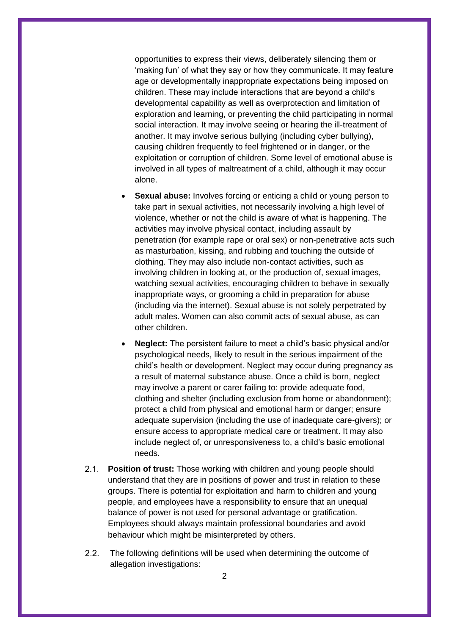opportunities to express their views, deliberately silencing them or 'making fun' of what they say or how they communicate. It may feature age or developmentally inappropriate expectations being imposed on children. These may include interactions that are beyond a child's developmental capability as well as overprotection and limitation of exploration and learning, or preventing the child participating in normal social interaction. It may involve seeing or hearing the ill-treatment of another. It may involve serious bullying (including cyber bullying), causing children frequently to feel frightened or in danger, or the exploitation or corruption of children. Some level of emotional abuse is involved in all types of maltreatment of a child, although it may occur alone.

- **Sexual abuse:** Involves forcing or enticing a child or young person to take part in sexual activities, not necessarily involving a high level of violence, whether or not the child is aware of what is happening. The activities may involve physical contact, including assault by penetration (for example rape or oral sex) or non-penetrative acts such as masturbation, kissing, and rubbing and touching the outside of clothing. They may also include non-contact activities, such as involving children in looking at, or the production of, sexual images, watching sexual activities, encouraging children to behave in sexually inappropriate ways, or grooming a child in preparation for abuse (including via the internet). Sexual abuse is not solely perpetrated by adult males. Women can also commit acts of sexual abuse, as can other children.
- **Neglect:** The persistent failure to meet a child's basic physical and/or psychological needs, likely to result in the serious impairment of the child's health or development. Neglect may occur during pregnancy as a result of maternal substance abuse. Once a child is born, neglect may involve a parent or carer failing to: provide adequate food, clothing and shelter (including exclusion from home or abandonment); protect a child from physical and emotional harm or danger; ensure adequate supervision (including the use of inadequate care-givers); or ensure access to appropriate medical care or treatment. It may also include neglect of, or unresponsiveness to, a child's basic emotional needs.
- **Position of trust:** Those working with children and young people should understand that they are in positions of power and trust in relation to these groups. There is potential for exploitation and harm to children and young people, and employees have a responsibility to ensure that an unequal balance of power is not used for personal advantage or gratification. Employees should always maintain professional boundaries and avoid behaviour which might be misinterpreted by others.
- $2.2.$ The following definitions will be used when determining the outcome of allegation investigations: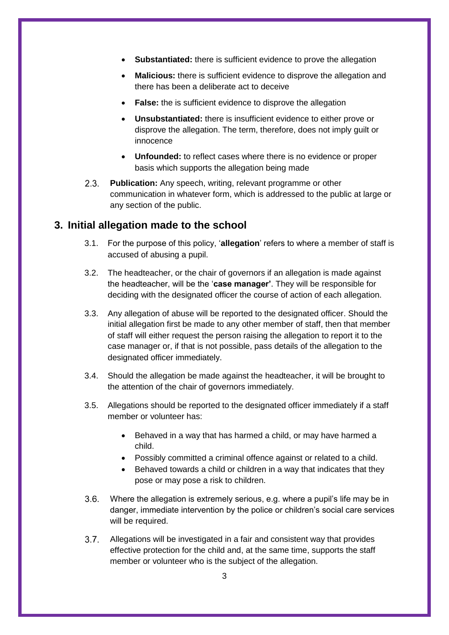- **Substantiated:** there is sufficient evidence to prove the allegation
- **Malicious:** there is sufficient evidence to disprove the allegation and there has been a deliberate act to deceive
- **False:** the is sufficient evidence to disprove the allegation
- **Unsubstantiated:** there is insufficient evidence to either prove or disprove the allegation. The term, therefore, does not imply guilt or innocence
- **Unfounded:** to reflect cases where there is no evidence or proper basis which supports the allegation being made
- $2.3.$ **Publication:** Any speech, writing, relevant programme or other communication in whatever form, which is addressed to the public at large or any section of the public.

## <span id="page-5-0"></span>**3. Initial allegation made to the school**

- 3.1. For the purpose of this policy, '**allegation**' refers to where a member of staff is accused of abusing a pupil.
- 3.2. The headteacher, or the chair of governors if an allegation is made against the headteacher, will be the '**case manager'**. They will be responsible for deciding with the designated officer the course of action of each allegation.
- 3.3. Any allegation of abuse will be reported to the designated officer. Should the initial allegation first be made to any other member of staff, then that member of staff will either request the person raising the allegation to report it to the case manager or, if that is not possible, pass details of the allegation to the designated officer immediately.
- 3.4. Should the allegation be made against the headteacher, it will be brought to the attention of the chair of governors immediately.
- 3.5. Allegations should be reported to the designated officer immediately if a staff member or volunteer has:
	- Behaved in a way that has harmed a child, or may have harmed a child.
	- Possibly committed a criminal offence against or related to a child.
	- Behaved towards a child or children in a way that indicates that they pose or may pose a risk to children.
- $3.6.$ Where the allegation is extremely serious, e.g. where a pupil's life may be in danger, immediate intervention by the police or children's social care services will be required.
- $3.7.$ Allegations will be investigated in a fair and consistent way that provides effective protection for the child and, at the same time, supports the staff member or volunteer who is the subject of the allegation.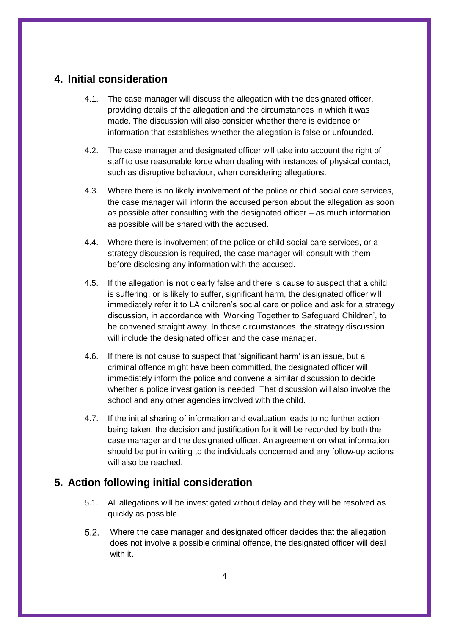# <span id="page-6-0"></span>**4. Initial consideration**

- 4.1. The case manager will discuss the allegation with the designated officer, providing details of the allegation and the circumstances in which it was made. The discussion will also consider whether there is evidence or information that establishes whether the allegation is false or unfounded.
- 4.2. The case manager and designated officer will take into account the right of staff to use reasonable force when dealing with instances of physical contact, such as disruptive behaviour, when considering allegations.
- 4.3. Where there is no likely involvement of the police or child social care services, the case manager will inform the accused person about the allegation as soon as possible after consulting with the designated officer – as much information as possible will be shared with the accused.
- 4.4. Where there is involvement of the police or child social care services, or a strategy discussion is required, the case manager will consult with them before disclosing any information with the accused.
- 4.5. If the allegation **is not** clearly false and there is cause to suspect that a child is suffering, or is likely to suffer, significant harm, the designated officer will immediately refer it to LA children's social care or police and ask for a strategy discussion, in accordance with 'Working Together to Safeguard Children', to be convened straight away. In those circumstances, the strategy discussion will include the designated officer and the case manager.
- 4.6. If there is not cause to suspect that 'significant harm' is an issue, but a criminal offence might have been committed, the designated officer will immediately inform the police and convene a similar discussion to decide whether a police investigation is needed. That discussion will also involve the school and any other agencies involved with the child.
- 4.7. If the initial sharing of information and evaluation leads to no further action being taken, the decision and justification for it will be recorded by both the case manager and the designated officer. An agreement on what information should be put in writing to the individuals concerned and any follow-up actions will also be reached.

# <span id="page-6-1"></span>**5. Action following initial consideration**

- 5.1. All allegations will be investigated without delay and they will be resolved as quickly as possible.
- $5.2.$ Where the case manager and designated officer decides that the allegation does not involve a possible criminal offence, the designated officer will deal with it.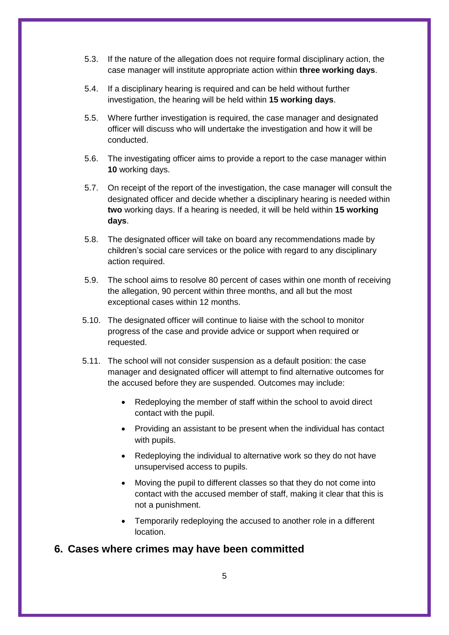- 5.3. If the nature of the allegation does not require formal disciplinary action, the case manager will institute appropriate action within **three working days**.
- 5.4. If a disciplinary hearing is required and can be held without further investigation, the hearing will be held within **15 working days**.
- 5.5. Where further investigation is required, the case manager and designated officer will discuss who will undertake the investigation and how it will be conducted.
- 5.6. The investigating officer aims to provide a report to the case manager within **10** working days.
- 5.7. On receipt of the report of the investigation, the case manager will consult the designated officer and decide whether a disciplinary hearing is needed within **two** working days. If a hearing is needed, it will be held within **15 working days**.
- 5.8. The designated officer will take on board any recommendations made by children's social care services or the police with regard to any disciplinary action required.
- 5.9. The school aims to resolve 80 percent of cases within one month of receiving the allegation, 90 percent within three months, and all but the most exceptional cases within 12 months.
- 5.10. The designated officer will continue to liaise with the school to monitor progress of the case and provide advice or support when required or requested.
- 5.11. The school will not consider suspension as a default position: the case manager and designated officer will attempt to find alternative outcomes for the accused before they are suspended. Outcomes may include:
	- Redeploying the member of staff within the school to avoid direct contact with the pupil.
	- Providing an assistant to be present when the individual has contact with pupils.
	- Redeploying the individual to alternative work so they do not have unsupervised access to pupils.
	- Moving the pupil to different classes so that they do not come into contact with the accused member of staff, making it clear that this is not a punishment.
	- Temporarily redeploying the accused to another role in a different location.

## <span id="page-7-0"></span>**6. Cases where crimes may have been committed**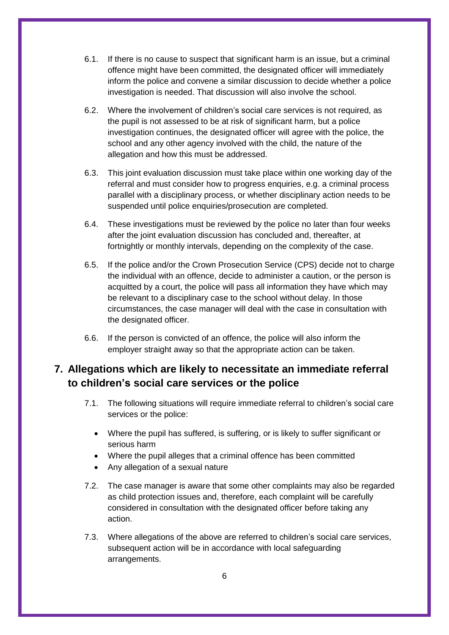- 6.1. If there is no cause to suspect that significant harm is an issue, but a criminal offence might have been committed, the designated officer will immediately inform the police and convene a similar discussion to decide whether a police investigation is needed. That discussion will also involve the school.
- 6.2. Where the involvement of children's social care services is not required, as the pupil is not assessed to be at risk of significant harm, but a police investigation continues, the designated officer will agree with the police, the school and any other agency involved with the child, the nature of the allegation and how this must be addressed.
- 6.3. This joint evaluation discussion must take place within one working day of the referral and must consider how to progress enquiries, e.g. a criminal process parallel with a disciplinary process, or whether disciplinary action needs to be suspended until police enquiries/prosecution are completed.
- 6.4. These investigations must be reviewed by the police no later than four weeks after the joint evaluation discussion has concluded and, thereafter, at fortnightly or monthly intervals, depending on the complexity of the case.
- 6.5. If the police and/or the Crown Prosecution Service (CPS) decide not to charge the individual with an offence, decide to administer a caution, or the person is acquitted by a court, the police will pass all information they have which may be relevant to a disciplinary case to the school without delay. In those circumstances, the case manager will deal with the case in consultation with the designated officer.
- 6.6. If the person is convicted of an offence, the police will also inform the employer straight away so that the appropriate action can be taken.

# <span id="page-8-0"></span>**7. Allegations which are likely to necessitate an immediate referral to children's social care services or the police**

- 7.1. The following situations will require immediate referral to children's social care services or the police:
	- Where the pupil has suffered, is suffering, or is likely to suffer significant or serious harm
	- Where the pupil alleges that a criminal offence has been committed
	- Any allegation of a sexual nature
- 7.2. The case manager is aware that some other complaints may also be regarded as child protection issues and, therefore, each complaint will be carefully considered in consultation with the designated officer before taking any action.
- 7.3. Where allegations of the above are referred to children's social care services, subsequent action will be in accordance with local safeguarding arrangements.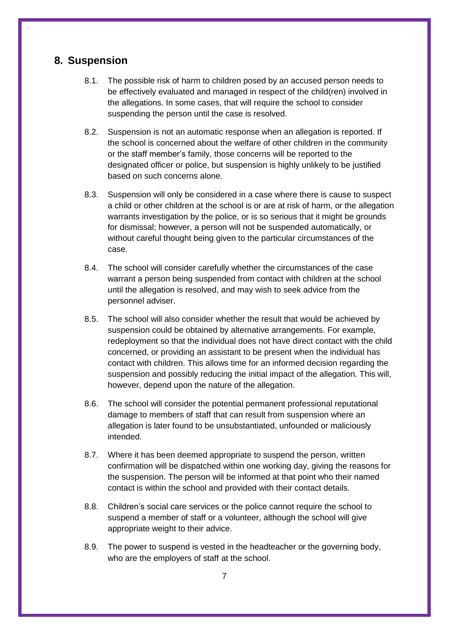## <span id="page-9-0"></span>**8. Suspension**

- 8.1. The possible risk of harm to children posed by an accused person needs to be effectively evaluated and managed in respect of the child(ren) involved in the allegations. In some cases, that will require the school to consider suspending the person until the case is resolved.
- 8.2. Suspension is not an automatic response when an allegation is reported. If the school is concerned about the welfare of other children in the community or the staff member's family, those concerns will be reported to the designated officer or police, but suspension is highly unlikely to be justified based on such concerns alone.
- 8.3. Suspension will only be considered in a case where there is cause to suspect a child or other children at the school is or are at risk of harm, or the allegation warrants investigation by the police, or is so serious that it might be grounds for dismissal; however, a person will not be suspended automatically, or without careful thought being given to the particular circumstances of the case.
- 8.4. The school will consider carefully whether the circumstances of the case warrant a person being suspended from contact with children at the school until the allegation is resolved, and may wish to seek advice from the personnel adviser.
- 8.5. The school will also consider whether the result that would be achieved by suspension could be obtained by alternative arrangements. For example, redeployment so that the individual does not have direct contact with the child concerned, or providing an assistant to be present when the individual has contact with children. This allows time for an informed decision regarding the suspension and possibly reducing the initial impact of the allegation. This will, however, depend upon the nature of the allegation.
- 8.6. The school will consider the potential permanent professional reputational damage to members of staff that can result from suspension where an allegation is later found to be unsubstantiated, unfounded or maliciously intended.
- 8.7. Where it has been deemed appropriate to suspend the person, written confirmation will be dispatched within one working day, giving the reasons for the suspension. The person will be informed at that point who their named contact is within the school and provided with their contact details.
- 8.8. Children's social care services or the police cannot require the school to suspend a member of staff or a volunteer, although the school will give appropriate weight to their advice.
- 8.9. The power to suspend is vested in the headteacher or the governing body, who are the employers of staff at the school.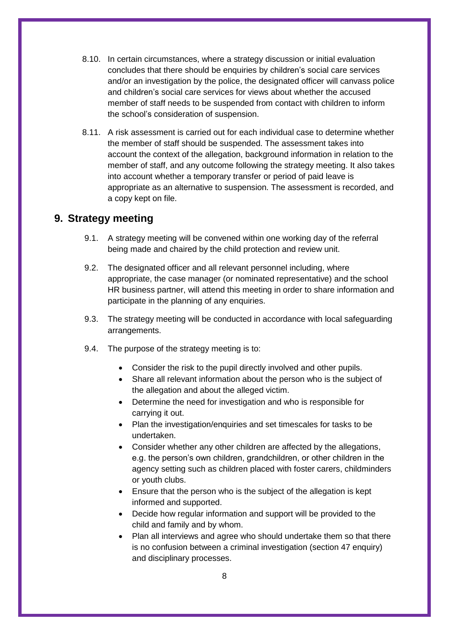- 8.10. In certain circumstances, where a strategy discussion or initial evaluation concludes that there should be enquiries by children's social care services and/or an investigation by the police, the designated officer will canvass police and children's social care services for views about whether the accused member of staff needs to be suspended from contact with children to inform the school's consideration of suspension.
- 8.11. A risk assessment is carried out for each individual case to determine whether the member of staff should be suspended. The assessment takes into account the context of the allegation, background information in relation to the member of staff, and any outcome following the strategy meeting. It also takes into account whether a temporary transfer or period of paid leave is appropriate as an alternative to suspension. The assessment is recorded, and a copy kept on file.

## <span id="page-10-0"></span>**9. Strategy meeting**

- 9.1. A strategy meeting will be convened within one working day of the referral being made and chaired by the child protection and review unit.
- 9.2. The designated officer and all relevant personnel including, where appropriate, the case manager (or nominated representative) and the school HR business partner, will attend this meeting in order to share information and participate in the planning of any enquiries.
- 9.3. The strategy meeting will be conducted in accordance with local safeguarding arrangements.
- 9.4. The purpose of the strategy meeting is to:
	- Consider the risk to the pupil directly involved and other pupils.
	- Share all relevant information about the person who is the subject of the allegation and about the alleged victim.
	- Determine the need for investigation and who is responsible for carrying it out.
	- Plan the investigation/enquiries and set timescales for tasks to be undertaken.
	- Consider whether any other children are affected by the allegations, e.g. the person's own children, grandchildren, or other children in the agency setting such as children placed with foster carers, childminders or youth clubs.
	- Ensure that the person who is the subject of the allegation is kept informed and supported.
	- Decide how regular information and support will be provided to the child and family and by whom.
	- Plan all interviews and agree who should undertake them so that there is no confusion between a criminal investigation (section 47 enquiry) and disciplinary processes.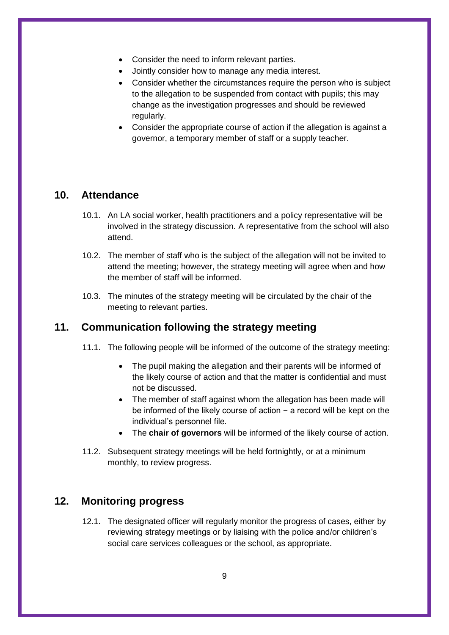- Consider the need to inform relevant parties.
- Jointly consider how to manage any media interest.
- Consider whether the circumstances require the person who is subject to the allegation to be suspended from contact with pupils; this may change as the investigation progresses and should be reviewed regularly.
- Consider the appropriate course of action if the allegation is against a governor, a temporary member of staff or a supply teacher.

## <span id="page-11-0"></span>**10. Attendance**

- 10.1. An LA social worker, health practitioners and a policy representative will be involved in the strategy discussion. A representative from the school will also attend.
- 10.2. The member of staff who is the subject of the allegation will not be invited to attend the meeting; however, the strategy meeting will agree when and how the member of staff will be informed.
- 10.3. The minutes of the strategy meeting will be circulated by the chair of the meeting to relevant parties.

## <span id="page-11-1"></span>**11. Communication following the strategy meeting**

- 11.1. The following people will be informed of the outcome of the strategy meeting:
	- The pupil making the allegation and their parents will be informed of the likely course of action and that the matter is confidential and must not be discussed.
	- The member of staff against whom the allegation has been made will be informed of the likely course of action − a record will be kept on the individual's personnel file.
	- The **chair of governors** will be informed of the likely course of action.
- 11.2. Subsequent strategy meetings will be held fortnightly, or at a minimum monthly, to review progress.

# <span id="page-11-2"></span>**12. Monitoring progress**

12.1. The designated officer will regularly monitor the progress of cases, either by reviewing strategy meetings or by liaising with the police and/or children's social care services colleagues or the school, as appropriate.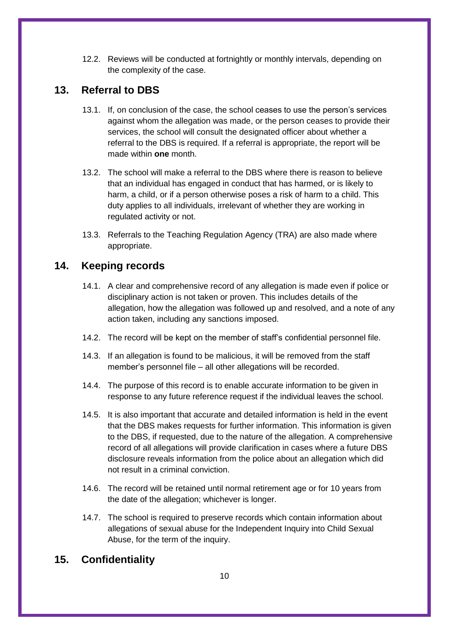12.2. Reviews will be conducted at fortnightly or monthly intervals, depending on the complexity of the case.

# <span id="page-12-0"></span>**13. Referral to DBS**

- 13.1. If, on conclusion of the case, the school ceases to use the person's services against whom the allegation was made, or the person ceases to provide their services, the school will consult the designated officer about whether a referral to the DBS is required. If a referral is appropriate, the report will be made within **one** month.
- 13.2. The school will make a referral to the DBS where there is reason to believe that an individual has engaged in conduct that has harmed, or is likely to harm, a child, or if a person otherwise poses a risk of harm to a child. This duty applies to all individuals, irrelevant of whether they are working in regulated activity or not.
- 13.3. Referrals to the Teaching Regulation Agency (TRA) are also made where appropriate.

# <span id="page-12-1"></span>**14. Keeping records**

- 14.1. A clear and comprehensive record of any allegation is made even if police or disciplinary action is not taken or proven. This includes details of the allegation, how the allegation was followed up and resolved, and a note of any action taken, including any sanctions imposed.
- 14.2. The record will be kept on the member of staff's confidential personnel file.
- 14.3. If an allegation is found to be malicious, it will be removed from the staff member's personnel file – all other allegations will be recorded.
- 14.4. The purpose of this record is to enable accurate information to be given in response to any future reference request if the individual leaves the school.
- 14.5. It is also important that accurate and detailed information is held in the event that the DBS makes requests for further information. This information is given to the DBS, if requested, due to the nature of the allegation. A comprehensive record of all allegations will provide clarification in cases where a future DBS disclosure reveals information from the police about an allegation which did not result in a criminal conviction.
- 14.6. The record will be retained until normal retirement age or for 10 years from the date of the allegation; whichever is longer.
- 14.7. The school is required to preserve records which contain information about allegations of sexual abuse for the Independent Inquiry into Child Sexual Abuse, for the term of the inquiry.

# <span id="page-12-2"></span>**15. Confidentiality**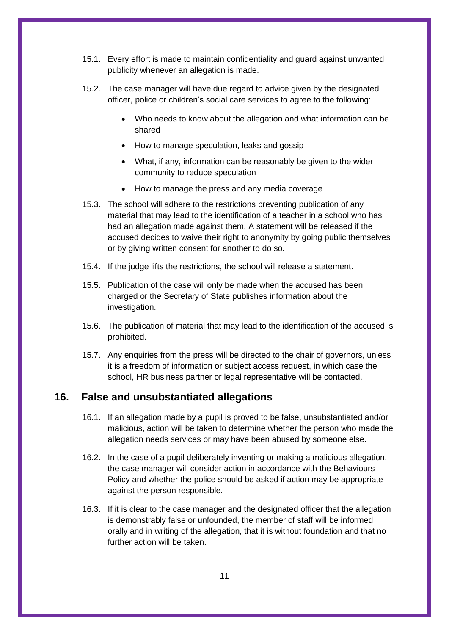- 15.1. Every effort is made to maintain confidentiality and guard against unwanted publicity whenever an allegation is made.
- 15.2. The case manager will have due regard to advice given by the designated officer, police or children's social care services to agree to the following:
	- Who needs to know about the allegation and what information can be shared
	- How to manage speculation, leaks and gossip
	- What, if any, information can be reasonably be given to the wider community to reduce speculation
	- How to manage the press and any media coverage
- 15.3. The school will adhere to the restrictions preventing publication of any material that may lead to the identification of a teacher in a school who has had an allegation made against them. A statement will be released if the accused decides to waive their right to anonymity by going public themselves or by giving written consent for another to do so.
- 15.4. If the judge lifts the restrictions, the school will release a statement.
- 15.5. Publication of the case will only be made when the accused has been charged or the Secretary of State publishes information about the investigation.
- 15.6. The publication of material that may lead to the identification of the accused is prohibited.
- 15.7. Any enquiries from the press will be directed to the chair of governors, unless it is a freedom of information or subject access request, in which case the school, HR business partner or legal representative will be contacted.

### <span id="page-13-0"></span>**16. False and unsubstantiated allegations**

- 16.1. If an allegation made by a pupil is proved to be false, unsubstantiated and/or malicious, action will be taken to determine whether the person who made the allegation needs services or may have been abused by someone else.
- 16.2. In the case of a pupil deliberately inventing or making a malicious allegation, the case manager will consider action in accordance with the Behaviours Policy and whether the police should be asked if action may be appropriate against the person responsible.
- 16.3. If it is clear to the case manager and the designated officer that the allegation is demonstrably false or unfounded, the member of staff will be informed orally and in writing of the allegation, that it is without foundation and that no further action will be taken.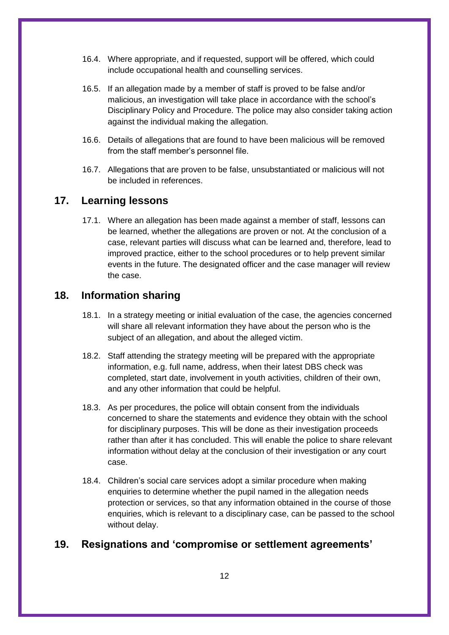- 16.4. Where appropriate, and if requested, support will be offered, which could include occupational health and counselling services.
- 16.5. If an allegation made by a member of staff is proved to be false and/or malicious, an investigation will take place in accordance with the school's Disciplinary Policy and Procedure. The police may also consider taking action against the individual making the allegation.
- 16.6. Details of allegations that are found to have been malicious will be removed from the staff member's personnel file.
- 16.7. Allegations that are proven to be false, unsubstantiated or malicious will not be included in references.

# <span id="page-14-0"></span>**17. Learning lessons**

17.1. Where an allegation has been made against a member of staff, lessons can be learned, whether the allegations are proven or not. At the conclusion of a case, relevant parties will discuss what can be learned and, therefore, lead to improved practice, either to the school procedures or to help prevent similar events in the future. The designated officer and the case manager will review the case.

## <span id="page-14-1"></span>**18. Information sharing**

- 18.1. In a strategy meeting or initial evaluation of the case, the agencies concerned will share all relevant information they have about the person who is the subject of an allegation, and about the alleged victim.
- 18.2. Staff attending the strategy meeting will be prepared with the appropriate information, e.g. full name, address, when their latest DBS check was completed, start date, involvement in youth activities, children of their own, and any other information that could be helpful.
- 18.3. As per procedures, the police will obtain consent from the individuals concerned to share the statements and evidence they obtain with the school for disciplinary purposes. This will be done as their investigation proceeds rather than after it has concluded. This will enable the police to share relevant information without delay at the conclusion of their investigation or any court case.
- 18.4. Children's social care services adopt a similar procedure when making enquiries to determine whether the pupil named in the allegation needs protection or services, so that any information obtained in the course of those enquiries, which is relevant to a disciplinary case, can be passed to the school without delay.

## <span id="page-14-2"></span>**19. Resignations and 'compromise or settlement agreements'**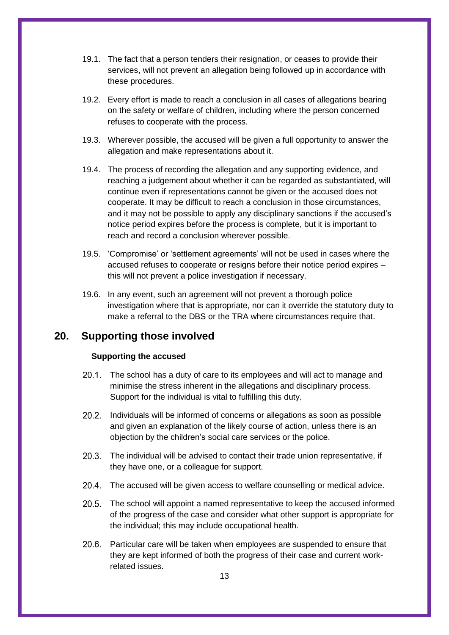- 19.1. The fact that a person tenders their resignation, or ceases to provide their services, will not prevent an allegation being followed up in accordance with these procedures.
- 19.2. Every effort is made to reach a conclusion in all cases of allegations bearing on the safety or welfare of children, including where the person concerned refuses to cooperate with the process.
- 19.3. Wherever possible, the accused will be given a full opportunity to answer the allegation and make representations about it.
- 19.4. The process of recording the allegation and any supporting evidence, and reaching a judgement about whether it can be regarded as substantiated, will continue even if representations cannot be given or the accused does not cooperate. It may be difficult to reach a conclusion in those circumstances, and it may not be possible to apply any disciplinary sanctions if the accused's notice period expires before the process is complete, but it is important to reach and record a conclusion wherever possible.
- 19.5. 'Compromise' or 'settlement agreements' will not be used in cases where the accused refuses to cooperate or resigns before their notice period expires – this will not prevent a police investigation if necessary.
- 19.6. In any event, such an agreement will not prevent a thorough police investigation where that is appropriate, nor can it override the statutory duty to make a referral to the DBS or the TRA where circumstances require that.

# <span id="page-15-0"></span>**20. Supporting those involved**

#### **Supporting the accused**

- 20.1. The school has a duty of care to its employees and will act to manage and minimise the stress inherent in the allegations and disciplinary process. Support for the individual is vital to fulfilling this duty.
- 20.2. Individuals will be informed of concerns or allegations as soon as possible and given an explanation of the likely course of action, unless there is an objection by the children's social care services or the police.
- 20.3. The individual will be advised to contact their trade union representative, if they have one, or a colleague for support.
- 20.4. The accused will be given access to welfare counselling or medical advice.
- 20.5. The school will appoint a named representative to keep the accused informed of the progress of the case and consider what other support is appropriate for the individual; this may include occupational health.
- 20.6. Particular care will be taken when employees are suspended to ensure that they are kept informed of both the progress of their case and current workrelated issues.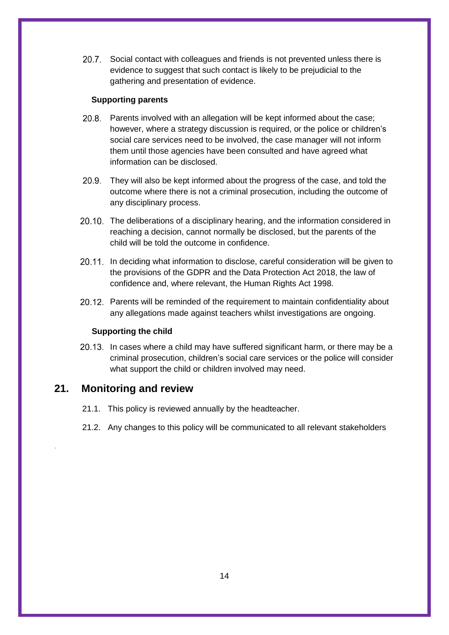20.7. Social contact with colleagues and friends is not prevented unless there is evidence to suggest that such contact is likely to be prejudicial to the gathering and presentation of evidence.

#### **Supporting parents**

- $20.8.$ Parents involved with an allegation will be kept informed about the case; however, where a strategy discussion is required, or the police or children's social care services need to be involved, the case manager will not inform them until those agencies have been consulted and have agreed what information can be disclosed.
- 20.9. They will also be kept informed about the progress of the case, and told the outcome where there is not a criminal prosecution, including the outcome of any disciplinary process.
- 20.10. The deliberations of a disciplinary hearing, and the information considered in reaching a decision, cannot normally be disclosed, but the parents of the child will be told the outcome in confidence.
- 20.11. In deciding what information to disclose, careful consideration will be given to the provisions of the GDPR and the Data Protection Act 2018, the law of confidence and, where relevant, the Human Rights Act 1998.
- 20.12. Parents will be reminded of the requirement to maintain confidentiality about any allegations made against teachers whilst investigations are ongoing.

#### **Supporting the child**

20.13. In cases where a child may have suffered significant harm, or there may be a criminal prosecution, children's social care services or the police will consider what support the child or children involved may need.

#### <span id="page-16-0"></span>**21. Monitoring and review**

**.**

- 21.1. This policy is reviewed annually by the headteacher.
- 21.2. Any changes to this policy will be communicated to all relevant stakeholders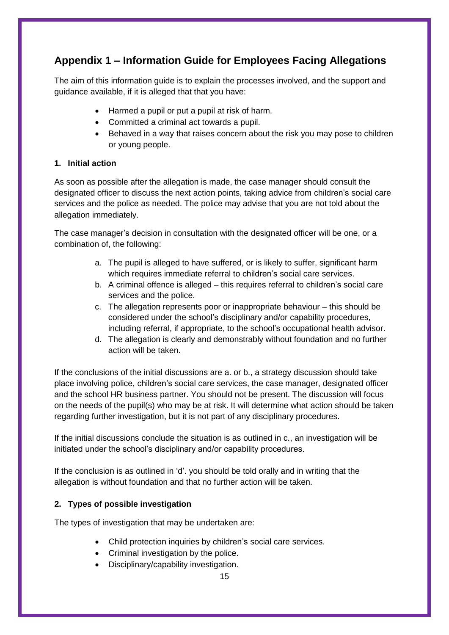# <span id="page-17-0"></span>**Appendix 1 – Information Guide for Employees Facing Allegations**

The aim of this information guide is to explain the processes involved, and the support and guidance available, if it is alleged that that you have:

- Harmed a pupil or put a pupil at risk of harm.
- Committed a criminal act towards a pupil.
- Behaved in a way that raises concern about the risk you may pose to children or young people.

#### **1. Initial action**

As soon as possible after the allegation is made, the case manager should consult the designated officer to discuss the next action points, taking advice from children's social care services and the police as needed. The police may advise that you are not told about the allegation immediately.

The case manager's decision in consultation with the designated officer will be one, or a combination of, the following:

- a. The pupil is alleged to have suffered, or is likely to suffer, significant harm which requires immediate referral to children's social care services.
- b. A criminal offence is alleged this requires referral to children's social care services and the police.
- c. The allegation represents poor or inappropriate behaviour this should be considered under the school's disciplinary and/or capability procedures, including referral, if appropriate, to the school's occupational health advisor.
- d. The allegation is clearly and demonstrably without foundation and no further action will be taken.

If the conclusions of the initial discussions are a. or b., a strategy discussion should take place involving police, children's social care services, the case manager, designated officer and the school HR business partner. You should not be present. The discussion will focus on the needs of the pupil(s) who may be at risk. It will determine what action should be taken regarding further investigation, but it is not part of any disciplinary procedures.

If the initial discussions conclude the situation is as outlined in c., an investigation will be initiated under the school's disciplinary and/or capability procedures.

If the conclusion is as outlined in 'd'. you should be told orally and in writing that the allegation is without foundation and that no further action will be taken.

#### **2. Types of possible investigation**

The types of investigation that may be undertaken are:

- Child protection inquiries by children's social care services.
- Criminal investigation by the police.
- Disciplinary/capability investigation.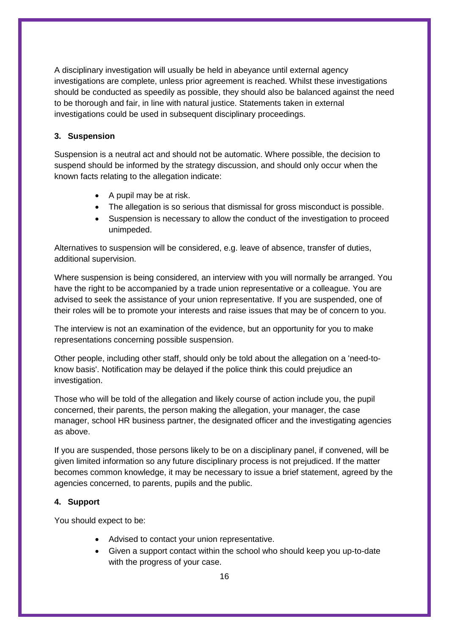A disciplinary investigation will usually be held in abeyance until external agency investigations are complete, unless prior agreement is reached. Whilst these investigations should be conducted as speedily as possible, they should also be balanced against the need to be thorough and fair, in line with natural justice. Statements taken in external investigations could be used in subsequent disciplinary proceedings.

#### **3. Suspension**

Suspension is a neutral act and should not be automatic. Where possible, the decision to suspend should be informed by the strategy discussion, and should only occur when the known facts relating to the allegation indicate:

- $\bullet$  A pupil may be at risk.
- The allegation is so serious that dismissal for gross misconduct is possible.
- Suspension is necessary to allow the conduct of the investigation to proceed unimpeded.

Alternatives to suspension will be considered, e.g. leave of absence, transfer of duties, additional supervision.

Where suspension is being considered, an interview with you will normally be arranged. You have the right to be accompanied by a trade union representative or a colleague. You are advised to seek the assistance of your union representative. If you are suspended, one of their roles will be to promote your interests and raise issues that may be of concern to you.

The interview is not an examination of the evidence, but an opportunity for you to make representations concerning possible suspension.

Other people, including other staff, should only be told about the allegation on a 'need-toknow basis'. Notification may be delayed if the police think this could prejudice an investigation.

Those who will be told of the allegation and likely course of action include you, the pupil concerned, their parents, the person making the allegation, your manager, the case manager, school HR business partner, the designated officer and the investigating agencies as above.

If you are suspended, those persons likely to be on a disciplinary panel, if convened, will be given limited information so any future disciplinary process is not prejudiced. If the matter becomes common knowledge, it may be necessary to issue a brief statement, agreed by the agencies concerned, to parents, pupils and the public.

#### **4. Support**

You should expect to be:

- Advised to contact your union representative.
- Given a support contact within the school who should keep you up-to-date with the progress of your case.